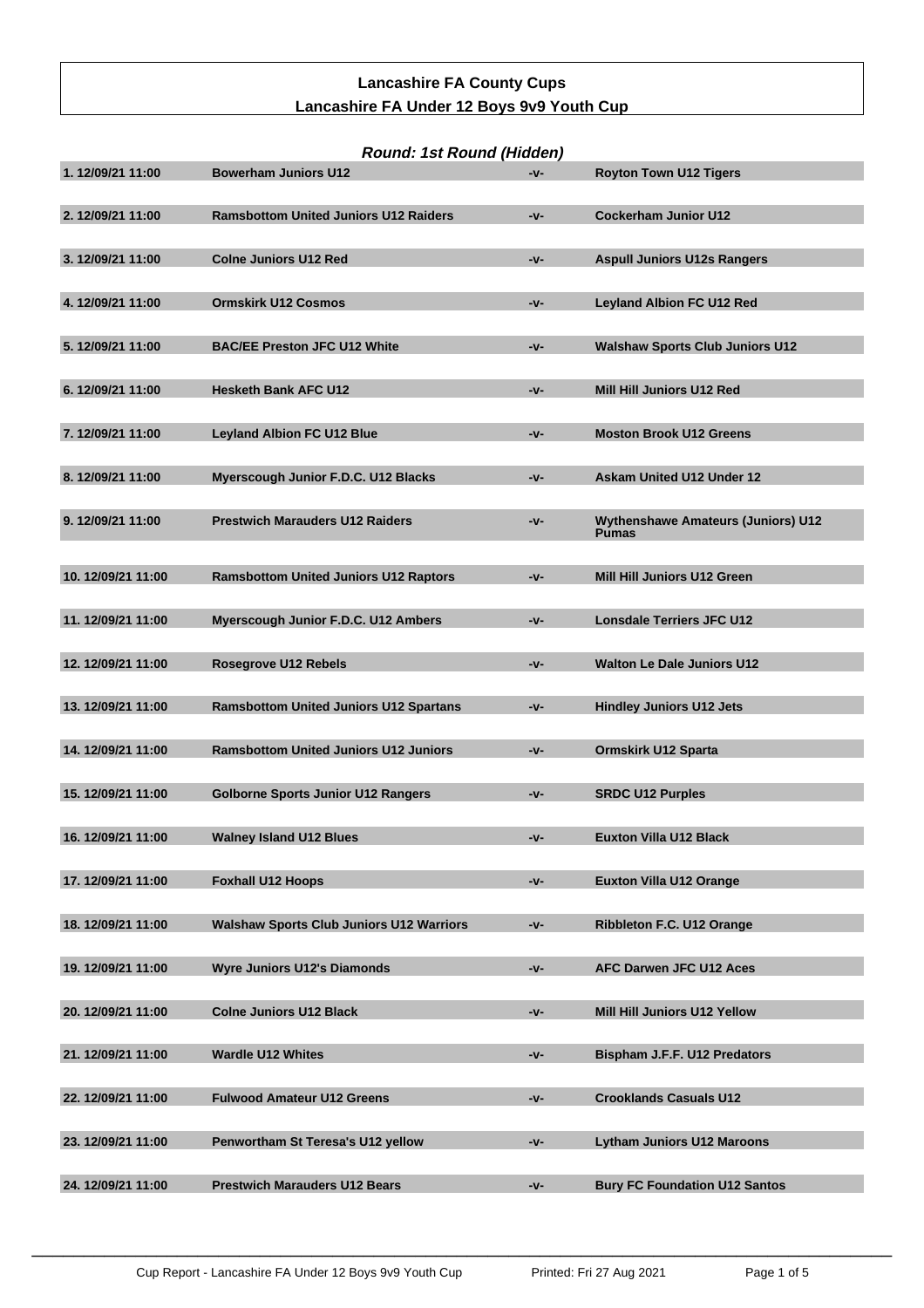# **Lancashire FA County Cups Lancashire FA Under 12 Boys 9v9 Youth Cup**

| Round: 1st Round (Hidden) |                                                 |     |                                                           |  |  |
|---------------------------|-------------------------------------------------|-----|-----------------------------------------------------------|--|--|
| 1.12/09/21 11:00          | <b>Bowerham Juniors U12</b>                     | -v- | <b>Royton Town U12 Tigers</b>                             |  |  |
| 2. 12/09/21 11:00         | <b>Ramsbottom United Juniors U12 Raiders</b>    | -v- | <b>Cockerham Junior U12</b>                               |  |  |
| 3.12/09/21 11:00          | <b>Colne Juniors U12 Red</b>                    | -v- | <b>Aspull Juniors U12s Rangers</b>                        |  |  |
| 4.12/09/21 11:00          | <b>Ormskirk U12 Cosmos</b>                      | -v- | <b>Leyland Albion FC U12 Red</b>                          |  |  |
| 5.12/09/21 11:00          | <b>BAC/EE Preston JFC U12 White</b>             | -v- | <b>Walshaw Sports Club Juniors U12</b>                    |  |  |
| 6.12/09/21 11:00          | <b>Hesketh Bank AFC U12</b>                     | -v- | Mill Hill Juniors U12 Red                                 |  |  |
| 7.12/09/21 11:00          | <b>Leyland Albion FC U12 Blue</b>               | -v- | <b>Moston Brook U12 Greens</b>                            |  |  |
| 8.12/09/21 11:00          | Myerscough Junior F.D.C. U12 Blacks             | -v- | <b>Askam United U12 Under 12</b>                          |  |  |
| 9.12/09/21 11:00          | <b>Prestwich Marauders U12 Raiders</b>          | -v- | <b>Wythenshawe Amateurs (Juniors) U12</b><br><b>Pumas</b> |  |  |
| 10.12/09/21 11:00         | <b>Ramsbottom United Juniors U12 Raptors</b>    | -v- | Mill Hill Juniors U12 Green                               |  |  |
| 11.12/09/21 11:00         | Myerscough Junior F.D.C. U12 Ambers             | -v- | <b>Lonsdale Terriers JFC U12</b>                          |  |  |
| 12.12/09/21 11:00         | <b>Rosegrove U12 Rebels</b>                     | -v- | <b>Walton Le Dale Juniors U12</b>                         |  |  |
| 13.12/09/21 11:00         | <b>Ramsbottom United Juniors U12 Spartans</b>   | -v- | <b>Hindley Juniors U12 Jets</b>                           |  |  |
| 14.12/09/21 11:00         | <b>Ramsbottom United Juniors U12 Juniors</b>    | -v- | <b>Ormskirk U12 Sparta</b>                                |  |  |
| 15.12/09/21 11:00         | <b>Golborne Sports Junior U12 Rangers</b>       | -v- | <b>SRDC U12 Purples</b>                                   |  |  |
| 16.12/09/21 11:00         | <b>Walney Island U12 Blues</b>                  | -v- | <b>Euxton Villa U12 Black</b>                             |  |  |
| 17.12/09/21 11:00         | <b>Foxhall U12 Hoops</b>                        | -v- | <b>Euxton Villa U12 Orange</b>                            |  |  |
| 18.12/09/21 11:00         | <b>Walshaw Sports Club Juniors U12 Warriors</b> | -v- | Ribbleton F.C. U12 Orange                                 |  |  |
| 19.12/09/21 11:00         | <b>Wyre Juniors U12's Diamonds</b>              | -v- | AFC Darwen JFC U12 Aces                                   |  |  |
| 20.12/09/21 11:00         | <b>Colne Juniors U12 Black</b>                  | -v- | Mill Hill Juniors U12 Yellow                              |  |  |
| 21.12/09/21 11:00         | <b>Wardle U12 Whites</b>                        | -v- | Bispham J.F.F. U12 Predators                              |  |  |
| 22.12/09/21 11:00         | <b>Fulwood Amateur U12 Greens</b>               | -v- | <b>Crooklands Casuals U12</b>                             |  |  |
| 23.12/09/21 11:00         | Penwortham St Teresa's U12 yellow               | -v- | <b>Lytham Juniors U12 Maroons</b>                         |  |  |
| 24.12/09/21 11:00         | <b>Prestwich Marauders U12 Bears</b>            | -v- | <b>Bury FC Foundation U12 Santos</b>                      |  |  |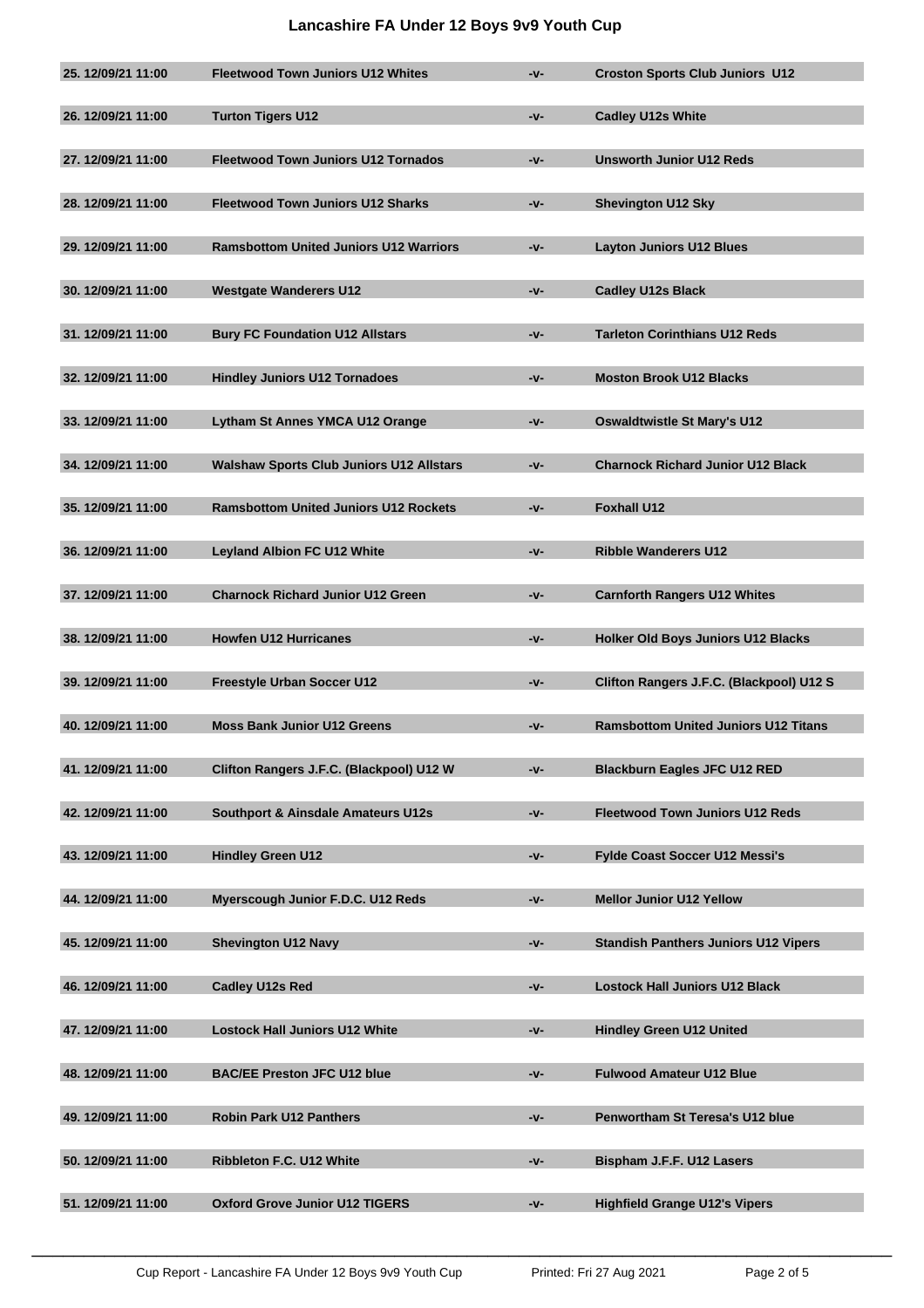## **Lancashire FA Under 12 Boys 9v9 Youth Cup**

| 25.12/09/21 11:00 | <b>Fleetwood Town Juniors U12 Whites</b>        | -v-   | <b>Croston Sports Club Juniors U12</b>      |
|-------------------|-------------------------------------------------|-------|---------------------------------------------|
| 26.12/09/21 11:00 | <b>Turton Tigers U12</b>                        | -v-   | <b>Cadley U12s White</b>                    |
| 27.12/09/21 11:00 | <b>Fleetwood Town Juniors U12 Tornados</b>      | $-v-$ | <b>Unsworth Junior U12 Reds</b>             |
| 28.12/09/21 11:00 | <b>Fleetwood Town Juniors U12 Sharks</b>        | -v-   | <b>Shevington U12 Sky</b>                   |
| 29.12/09/21 11:00 | <b>Ramsbottom United Juniors U12 Warriors</b>   | -v-   | <b>Layton Juniors U12 Blues</b>             |
| 30.12/09/21 11:00 | <b>Westgate Wanderers U12</b>                   | -v-   | <b>Cadley U12s Black</b>                    |
| 31.12/09/21 11:00 | <b>Bury FC Foundation U12 Allstars</b>          | -v-   | <b>Tarleton Corinthians U12 Reds</b>        |
| 32.12/09/21 11:00 | <b>Hindley Juniors U12 Tornadoes</b>            | -v-   | <b>Moston Brook U12 Blacks</b>              |
| 33.12/09/21 11:00 | Lytham St Annes YMCA U12 Orange                 | -v-   | <b>Oswaldtwistle St Mary's U12</b>          |
| 34.12/09/21 11:00 | <b>Walshaw Sports Club Juniors U12 Allstars</b> | -v-   | <b>Charnock Richard Junior U12 Black</b>    |
| 35.12/09/21 11:00 | <b>Ramsbottom United Juniors U12 Rockets</b>    | -v-   | <b>Foxhall U12</b>                          |
| 36.12/09/21 11:00 | <b>Leyland Albion FC U12 White</b>              | -v-   | <b>Ribble Wanderers U12</b>                 |
| 37.12/09/21 11:00 | <b>Charnock Richard Junior U12 Green</b>        | -v-   | <b>Carnforth Rangers U12 Whites</b>         |
| 38.12/09/21 11:00 | <b>Howfen U12 Hurricanes</b>                    | -v-   | <b>Holker Old Boys Juniors U12 Blacks</b>   |
| 39.12/09/21 11:00 | <b>Freestyle Urban Soccer U12</b>               | -v-   | Clifton Rangers J.F.C. (Blackpool) U12 S    |
| 40.12/09/21 11:00 | <b>Moss Bank Junior U12 Greens</b>              | -v-   | <b>Ramsbottom United Juniors U12 Titans</b> |
| 41.12/09/21 11:00 | Clifton Rangers J.F.C. (Blackpool) U12 W        | -v-   | <b>Blackburn Eagles JFC U12 RED</b>         |
| 42.12/09/21 11:00 | <b>Southport &amp; Ainsdale Amateurs U12s</b>   | -v-   | <b>Fleetwood Town Juniors U12 Reds</b>      |
| 43.12/09/21 11:00 | <b>Hindley Green U12</b>                        | -v-   | <b>Fylde Coast Soccer U12 Messi's</b>       |
| 44.12/09/21 11:00 | Myerscough Junior F.D.C. U12 Reds               | $-v-$ | <b>Mellor Junior U12 Yellow</b>             |
| 45.12/09/21 11:00 | <b>Shevington U12 Navy</b>                      | -v-   | <b>Standish Panthers Juniors U12 Vipers</b> |
| 46.12/09/21 11:00 | <b>Cadley U12s Red</b>                          | -v-   | <b>Lostock Hall Juniors U12 Black</b>       |
| 47.12/09/21 11:00 | <b>Lostock Hall Juniors U12 White</b>           | -v-   | <b>Hindley Green U12 United</b>             |
| 48.12/09/21 11:00 | <b>BAC/EE Preston JFC U12 blue</b>              | -v-   | <b>Fulwood Amateur U12 Blue</b>             |
| 49.12/09/21 11:00 | <b>Robin Park U12 Panthers</b>                  | -v-   | Penwortham St Teresa's U12 blue             |
| 50.12/09/21 11:00 | Ribbleton F.C. U12 White                        | -v-   | Bispham J.F.F. U12 Lasers                   |
| 51.12/09/21 11:00 | <b>Oxford Grove Junior U12 TIGERS</b>           | -v-   | <b>Highfield Grange U12's Vipers</b>        |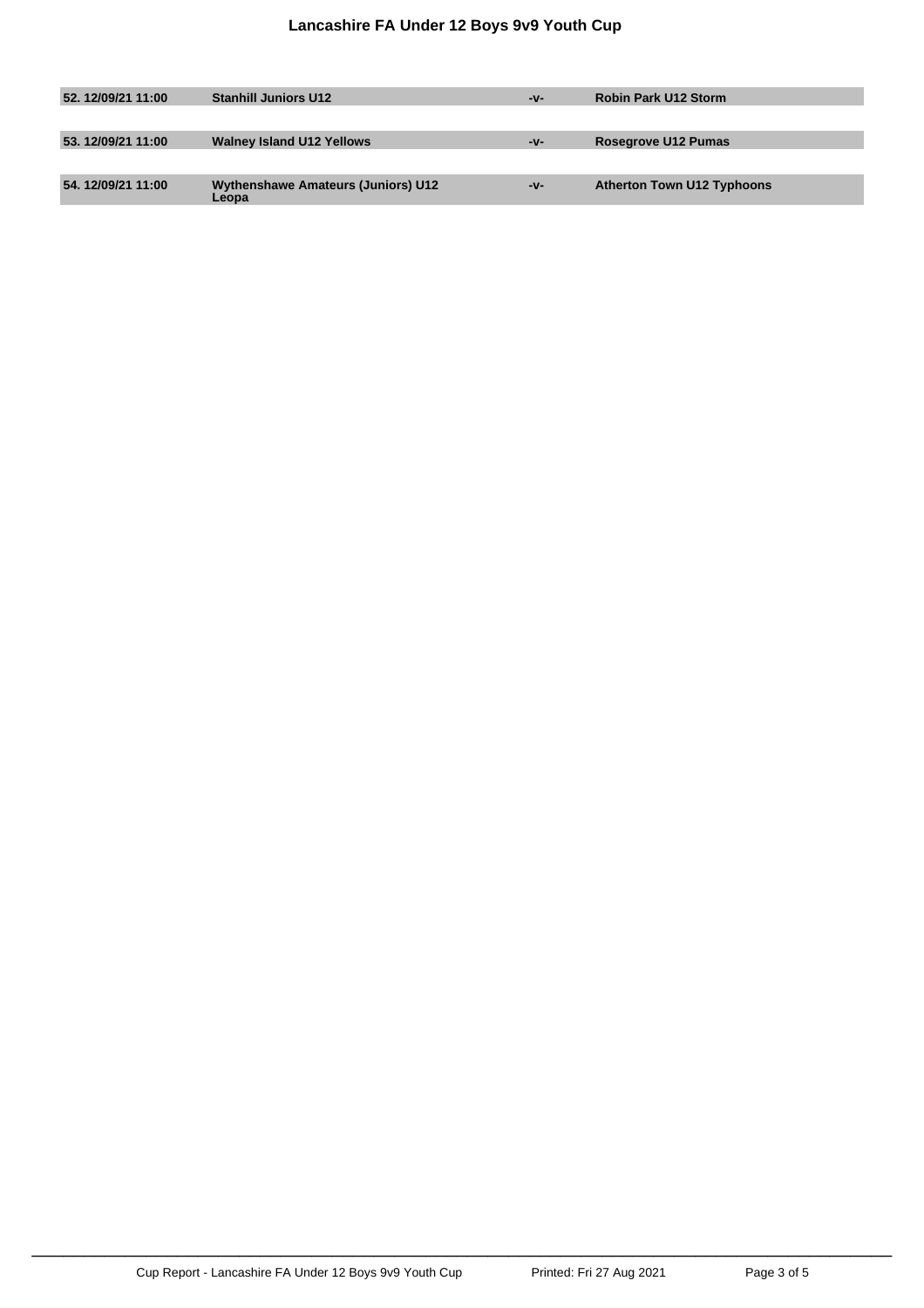| 52.12/09/21 11:00 | <b>Stanhill Juniors U12</b>                        | -v- | <b>Robin Park U12 Storm</b>       |
|-------------------|----------------------------------------------------|-----|-----------------------------------|
|                   |                                                    |     |                                   |
| 53.12/09/21 11:00 | <b>Walney Island U12 Yellows</b>                   | -v- | Rosegrove U12 Pumas               |
|                   |                                                    |     |                                   |
| 54.12/09/21 11:00 | <b>Wythenshawe Amateurs (Juniors) U12</b><br>Leopa | -v- | <b>Atherton Town U12 Typhoons</b> |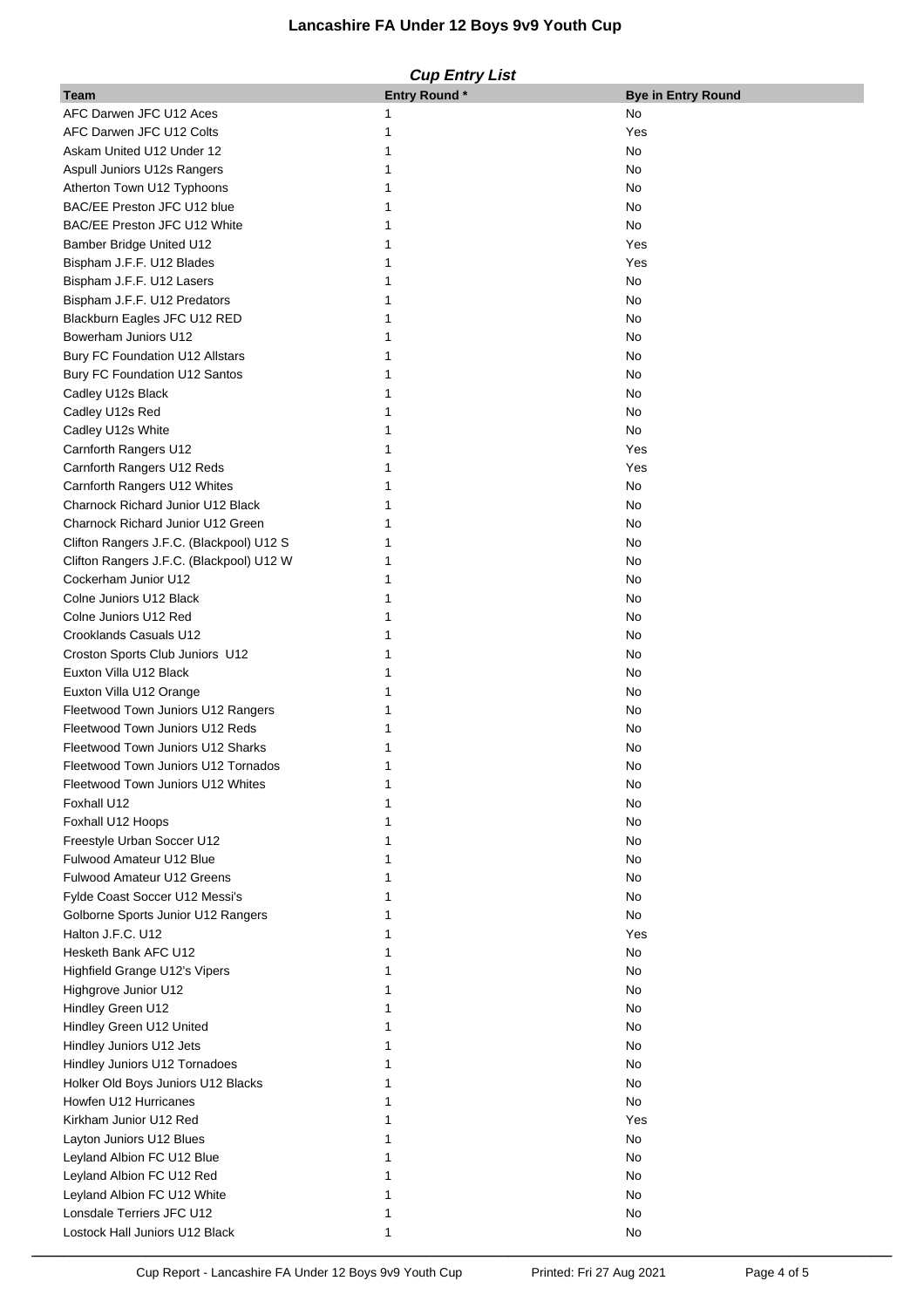## **Lancashire FA Under 12 Boys 9v9 Youth Cup**

#### **Cup Entry List**

| Team                                                        | <b>Entry Round*</b> | <b>Bye in Entry Round</b> |
|-------------------------------------------------------------|---------------------|---------------------------|
| AFC Darwen JFC U12 Aces                                     |                     | No                        |
| AFC Darwen JFC U12 Colts                                    |                     | Yes                       |
| Askam United U12 Under 12                                   |                     | No                        |
| Aspull Juniors U12s Rangers                                 |                     | No                        |
| Atherton Town U12 Typhoons                                  |                     | No                        |
| BAC/EE Preston JFC U12 blue                                 |                     | No                        |
| BAC/EE Preston JFC U12 White                                |                     | No                        |
|                                                             |                     | Yes                       |
| Bamber Bridge United U12                                    |                     |                           |
| Bispham J.F.F. U12 Blades                                   |                     | Yes                       |
| Bispham J.F.F. U12 Lasers                                   |                     | No                        |
| Bispham J.F.F. U12 Predators                                |                     | No                        |
| Blackburn Eagles JFC U12 RED                                |                     | No                        |
| Bowerham Juniors U12                                        |                     | No                        |
| Bury FC Foundation U12 Allstars                             |                     | No                        |
| Bury FC Foundation U12 Santos                               |                     | No                        |
| Cadley U12s Black                                           |                     | No                        |
| Cadley U12s Red                                             |                     | No                        |
| Cadley U12s White                                           |                     | No                        |
| Carnforth Rangers U12                                       |                     | Yes                       |
| Carnforth Rangers U12 Reds                                  |                     | Yes                       |
| Carnforth Rangers U12 Whites                                |                     | No                        |
| Charnock Richard Junior U12 Black                           |                     | No                        |
| Charnock Richard Junior U12 Green                           |                     | No                        |
| Clifton Rangers J.F.C. (Blackpool) U12 S                    |                     | No                        |
|                                                             |                     | No                        |
| Clifton Rangers J.F.C. (Blackpool) U12 W                    |                     |                           |
| Cockerham Junior U12                                        |                     | No                        |
| Colne Juniors U12 Black                                     |                     | No                        |
| Colne Juniors U12 Red                                       |                     | No                        |
| Crooklands Casuals U12                                      |                     | No                        |
| Croston Sports Club Juniors U12                             |                     | No                        |
| Euxton Villa U12 Black                                      |                     | No                        |
| Euxton Villa U12 Orange                                     |                     | No                        |
| Fleetwood Town Juniors U12 Rangers                          |                     | No                        |
| Fleetwood Town Juniors U12 Reds                             |                     | No                        |
| Fleetwood Town Juniors U12 Sharks                           |                     | No                        |
| Fleetwood Town Juniors U12 Tornados                         |                     | No                        |
| Fleetwood Town Juniors U12 Whites                           |                     | No                        |
| Foxhall U12                                                 |                     | No                        |
| Foxhall U12 Hoops                                           |                     | No                        |
| Freestyle Urban Soccer U12                                  |                     | No                        |
| Fulwood Amateur U12 Blue                                    |                     | No                        |
| <b>Fulwood Amateur U12 Greens</b>                           |                     | No                        |
| Fylde Coast Soccer U12 Messi's                              |                     | No                        |
|                                                             |                     |                           |
| Golborne Sports Junior U12 Rangers                          |                     | No                        |
| Halton J.F.C. U12                                           |                     | Yes                       |
| Hesketh Bank AFC U12                                        |                     | No                        |
| Highfield Grange U12's Vipers                               |                     | No                        |
| Highgrove Junior U12                                        |                     | No                        |
| Hindley Green U12                                           |                     | No                        |
| Hindley Green U12 United                                    |                     | No                        |
| Hindley Juniors U12 Jets                                    |                     | No                        |
| Hindley Juniors U12 Tornadoes                               |                     | No                        |
| Holker Old Boys Juniors U12 Blacks                          |                     | No                        |
| Howfen U12 Hurricanes                                       |                     | No                        |
|                                                             |                     | Yes                       |
| Kirkham Junior U12 Red                                      |                     |                           |
|                                                             |                     |                           |
| Layton Juniors U12 Blues                                    |                     | No                        |
| Leyland Albion FC U12 Blue                                  |                     | No                        |
| Leyland Albion FC U12 Red                                   |                     | No                        |
| Leyland Albion FC U12 White                                 |                     | No                        |
| Lonsdale Terriers JFC U12<br>Lostock Hall Juniors U12 Black |                     | No<br>No                  |